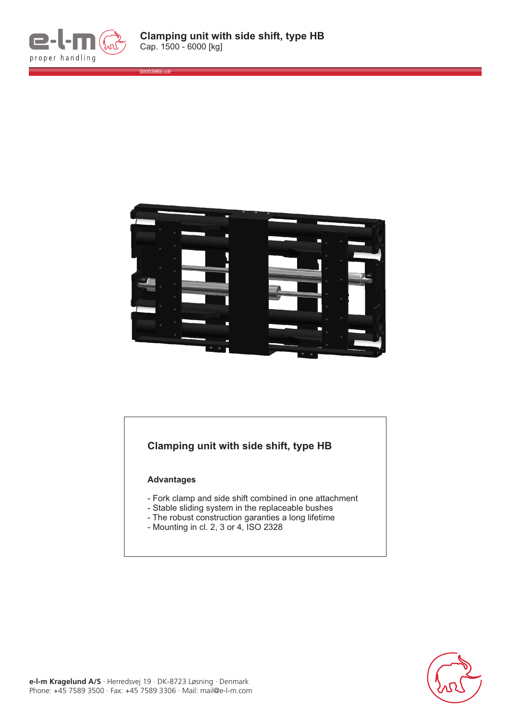

0000396b.cdr



## **Clamping unit with side shift, type HB**

## **Advantages**

- Fork clamp and side shift combined in one attachment
- Stable sliding system in the replaceable bushes
- The robust construction garanties a long lifetime
- Mounting in cl. 2, 3 or 4, ISO 2328